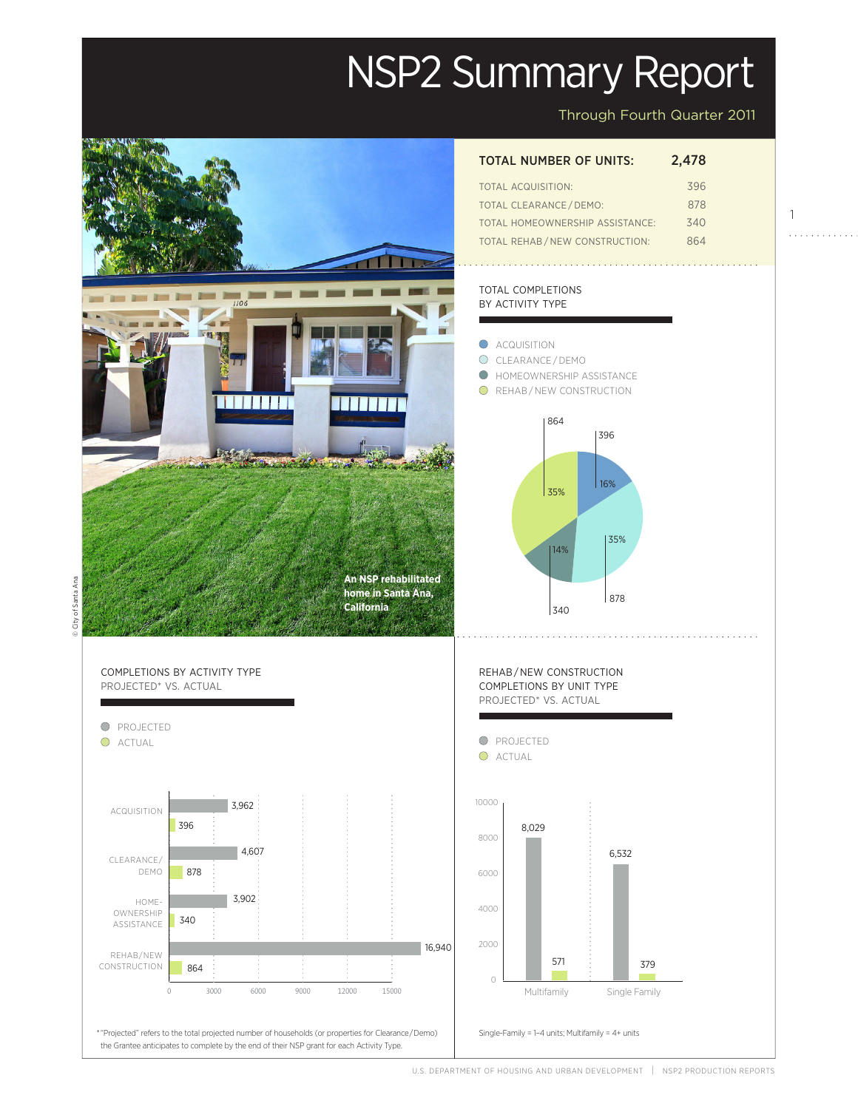# NSP2 Summary Report

Through Fourth Quarter 2011

1

. . . . . . . . . . .

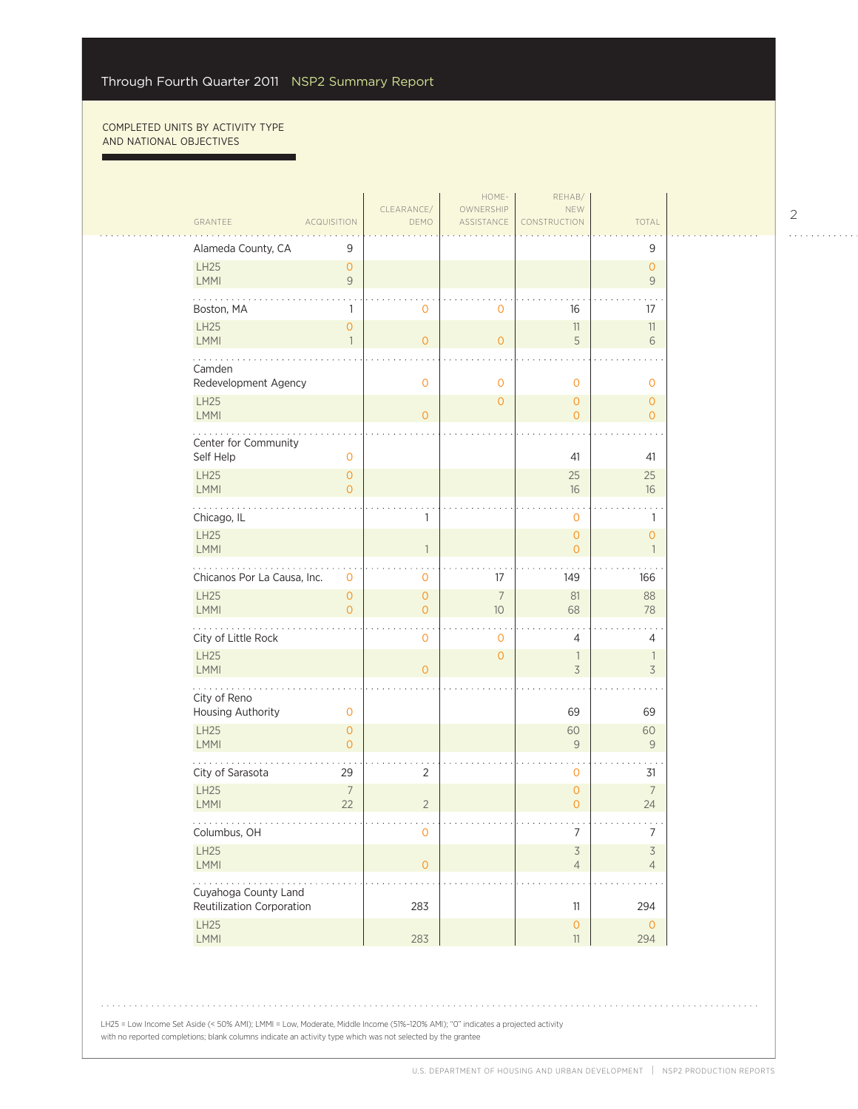г

u,

| GRANTEE                           | <b>ACQUISITION</b>                    | CLEARANCE/<br>DEMO                    | HOME-<br>OWNERSHIP<br>ASSISTANCE | REHAB/<br><b>NEW</b><br>CONSTRUCTION | TOTAL                            |  |
|-----------------------------------|---------------------------------------|---------------------------------------|----------------------------------|--------------------------------------|----------------------------------|--|
|                                   |                                       |                                       |                                  |                                      |                                  |  |
| Alameda County, CA                | 9                                     |                                       |                                  |                                      | 9                                |  |
| LH25<br>LMMI                      | $\overline{O}$<br>$\mathsf{9}$        |                                       |                                  |                                      | $\overline{O}$<br>9              |  |
| Boston, MA                        | $\mathbb{1}$                          | $\mathbf 0$                           | 0                                | 16                                   | 17                               |  |
| LH25<br>LMMI                      | $\mathsf{O}\xspace$<br>$\mathbf{1}$   | $\overline{0}$                        | $\overline{O}$                   | $11\,$<br>5                          | 11<br>6                          |  |
| Camden<br>Redevelopment Agency    |                                       | $\overline{0}$                        | 0                                | $\mathbf 0$                          | $\mathbf{O}$                     |  |
| LH25<br>LMMI                      |                                       | $\overline{O}$                        | $\overline{0}$                   | $\overline{0}$<br>$\mathbf{O}$       | $\overline{O}$<br>$\overline{O}$ |  |
|                                   |                                       |                                       |                                  |                                      |                                  |  |
| Center for Community<br>Self Help | $\mathbf 0$                           |                                       |                                  | 41                                   | 41                               |  |
| <b>LH25</b>                       | $\overline{O}$                        |                                       |                                  | 25                                   | 25                               |  |
| LMMI                              | $\overline{0}$                        |                                       |                                  | 16                                   | 16                               |  |
| Links.<br>Chicago, IL             |                                       | 1                                     |                                  | $\mathbf 0$                          | 1                                |  |
| LH25<br>LMMI                      |                                       | $\overline{1}$                        |                                  | $\circ$<br>$\overline{O}$            | $\overline{O}$<br>$\mathbf{1}$   |  |
| Chicanos Por La Causa, Inc.       | 0                                     | 0                                     | 17                               | 149                                  | 166                              |  |
| <b>LH25</b><br>LMMI               | $\mathsf{O}\xspace$<br>$\overline{O}$ | $\mathsf{O}\xspace$<br>$\overline{0}$ | $\overline{7}$<br>10             | 81<br>68                             | 88<br>78                         |  |
| City of Little Rock               |                                       | . .<br>$\mathbf{O}$                   | $\mathbf 0$                      | 4                                    | 4                                |  |
| <b>LH25</b><br>LMMI               |                                       | $\overline{O}$                        | $\overline{0}$                   | $\mathbb{1}$<br>3                    | $\mathbf{1}$<br>3                |  |
| .                                 |                                       |                                       |                                  |                                      |                                  |  |
| City of Reno<br>Housing Authority | 0                                     |                                       |                                  | 69                                   | 69                               |  |
| LH25<br>LMMI                      | $\overline{O}$<br>$\overline{O}$      |                                       |                                  | 60<br>9                              | 60<br>$\overline{9}$             |  |
| City of Sarasota                  | 29                                    | $\overline{2}$                        |                                  | $\mathbf 0$                          | 31                               |  |
| <b>LH25</b><br><b>LMMI</b>        | $\overline{7}$<br>22                  | $\overline{2}$                        |                                  | $\mathbf 0$<br>$\overline{O}$        | $\overline{7}$<br>24             |  |
| .<br>Columbus, OH                 |                                       | 0                                     |                                  | 7                                    | 7                                |  |
| LH25<br>LMMI                      |                                       | $\mathsf{O}\xspace$                   |                                  | $\mathsf 3$<br>$\overline{4}$        | 3<br>$\overline{4}$              |  |
| .<br>Cuyahoga County Land         |                                       |                                       |                                  |                                      |                                  |  |
| Reutilization Corporation         |                                       | 283                                   |                                  | 11                                   | 294                              |  |
| <b>LH25</b><br><b>LMMI</b>        |                                       | 283                                   |                                  | $\mathsf{O}\xspace$<br>11            | $\circ$<br>294                   |  |

2

. . . . . . . . . . . .

LH25 = Low Income Set Aside (< 50% AMI); LMMI = Low, Moderate, Middle Income (51%–120% AMI); "0" indicates a projected activity with no reported completions; blank columns indicate an activity type which was not selected by the grantee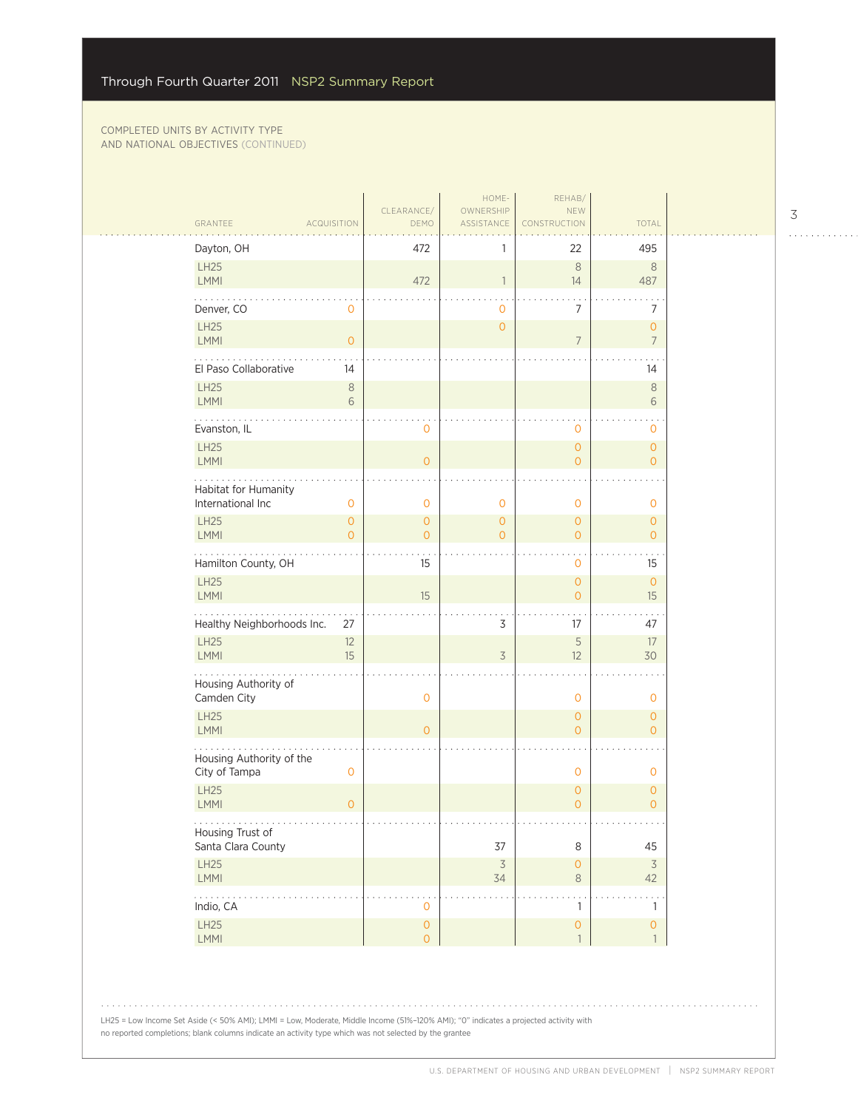$\sim 100$ 

|  | GRANTEE<br><b>ACQUISITION</b>                                | CLEARANCE/<br>DEMO                         | HOME-<br>OWNERSHIP<br>ASSISTANCE | REHAB/<br>NEW<br>CONSTRUCTION       | TOTAL                               | 3 |
|--|--------------------------------------------------------------|--------------------------------------------|----------------------------------|-------------------------------------|-------------------------------------|---|
|  | Dayton, OH                                                   | 472                                        | 1                                | 22                                  | 495                                 |   |
|  | LH25<br>LMMI                                                 | 472                                        | $\mathbf{1}$                     | $\,8\,$<br>14                       | $\,8\,$<br>487                      |   |
|  | Denver, CO<br>0                                              |                                            | $\mathbf 0$                      | 7                                   | 7                                   |   |
|  | LH25<br><b>LMMI</b><br>$\overline{0}$                        |                                            | $\mathsf{O}\xspace$              | $\overline{7}$                      | $\mathbf{O}$<br>$\overline{7}$      |   |
|  | El Paso Collaborative<br>14                                  |                                            |                                  |                                     | 14                                  |   |
|  | <b>LH25</b><br>$\,8\,$<br><b>LMMI</b><br>6                   |                                            |                                  |                                     | $\,8\,$<br>6                        |   |
|  | Evanston, IL                                                 | 0                                          |                                  | $\mathbf 0$                         | 0                                   |   |
|  | LH25<br><b>LMMI</b>                                          | $\overline{0}$                             |                                  | $\overline{0}$<br>$\overline{0}$    | $\mathbf{O}$<br>$\overline{0}$      |   |
|  | Habitat for Humanity<br>International Inc<br>$\mathbf{O}$    | $\mathbf 0$                                | $\mathbf 0$                      | $\mathbf 0$                         | $\circ$                             |   |
|  | <b>LH25</b><br>$\mathbf{0}$<br><b>LMMI</b><br>$\overline{0}$ | $\mathbf{O}$<br>$\Omega$                   | $\mathbf{O}$<br>$\mathbf{O}$     | $\overline{0}$<br>$\overline{0}$    | $\circ$<br>$\Omega$                 |   |
|  | Hamilton County, OH                                          | 15                                         |                                  | $\mathbf 0$                         | 15                                  |   |
|  | LH25<br><b>LMMI</b>                                          | 15                                         |                                  | $\overline{0}$<br>$\overline{0}$    | $\mathbf{O}$<br>15                  |   |
|  | Healthy Neighborhoods Inc.<br>27                             |                                            | 3                                | 17                                  | 47                                  |   |
|  | LH25<br>12<br><b>LMMI</b><br>15                              |                                            | $\overline{3}$                   | 5<br>12                             | 17<br>30                            |   |
|  | Housing Authority of<br>Camden City                          | $\mathbf 0$                                |                                  | $\mathbf 0$                         | $\mathbf 0$                         |   |
|  | LH25<br><b>LMMI</b>                                          | $\overline{O}$                             |                                  | $\overline{0}$<br>$\overline{0}$    | $\mathbf{O}$<br>$\circ$             |   |
|  | Housing Authority of the<br>City of Tampa<br>$\mathbf 0$     |                                            |                                  | $\mathbf 0$                         | $\circ$                             |   |
|  | <b>LH25</b><br><b>LMMI</b><br>$\overline{0}$                 |                                            |                                  | $\overline{0}$<br>$\overline{O}$    | $\circ$<br>$\overline{0}$           |   |
|  | Housing Trust of<br>Santa Clara County                       |                                            | $37\,$                           | 8                                   | 45                                  |   |
|  | LH25<br>LMMI                                                 |                                            | $\overline{\mathcal{S}}$<br>34   | $\mathsf{O}\xspace$<br>$\,8\,$      | $\overline{\mathcal{S}}$<br>42      |   |
|  | .<br>Indio, CA                                               | $\mathbf 0$                                |                                  | $\mathbf{1}$                        | $\mathbf{1}$                        |   |
|  | LH25<br>LMMI                                                 | $\mathsf{O}\xspace$<br>$\mathsf{O}\xspace$ |                                  | $\mathsf{O}\xspace$<br>$\mathbf{1}$ | $\mathsf{O}\xspace$<br>$\mathbf{1}$ |   |
|  |                                                              |                                            |                                  |                                     |                                     |   |

LH25 = Low Income Set Aside (< 50% AMI); LMMI = Low, Moderate, Middle Income (51%–120% AMI); "0" indicates a projected activity with no reported completions; blank columns indicate an activity type which was not selected by the grantee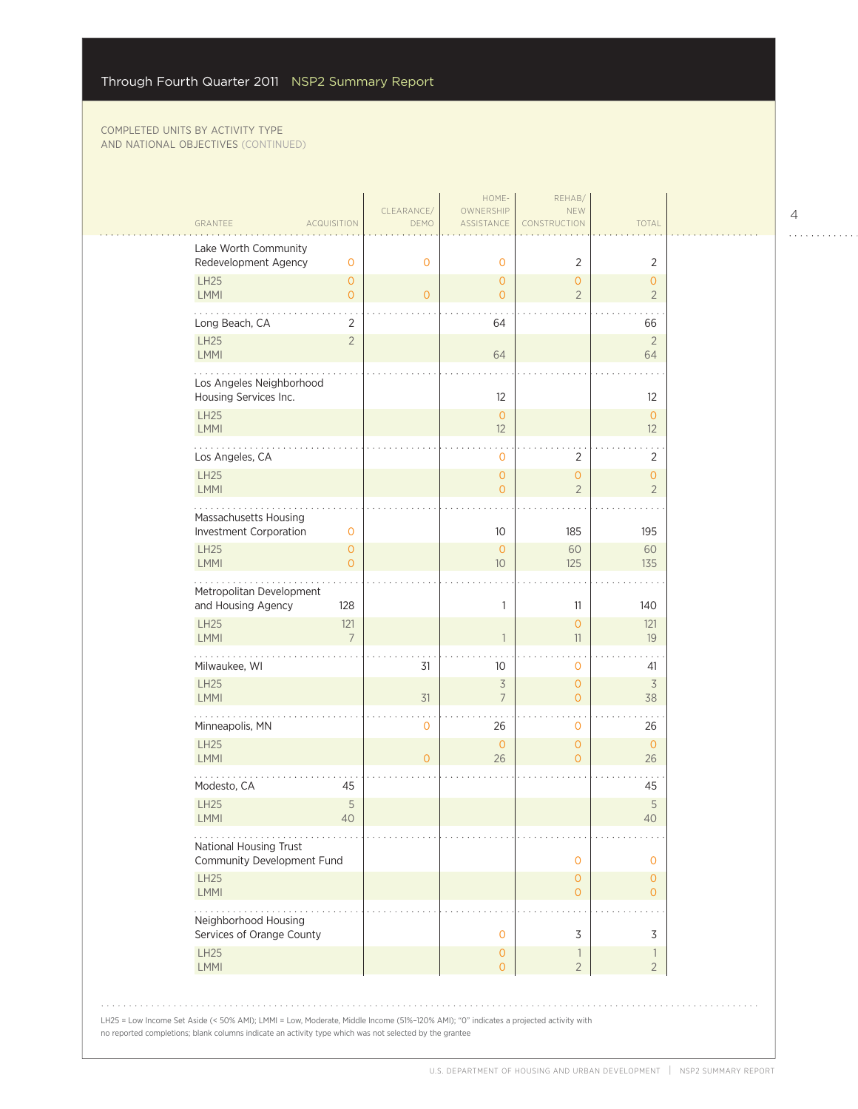| <b>ACQUISITION</b><br>GRANTEE                                  | CLEARANCE/<br>DEMO | HOME-<br>OWNERSHIP<br>ASSISTANCE  | REHAB/<br>NEW<br>CONSTRUCTION              | <b>TOTAL</b>                     |  |
|----------------------------------------------------------------|--------------------|-----------------------------------|--------------------------------------------|----------------------------------|--|
| Lake Worth Community<br>Redevelopment Agency<br>$\mathbf 0$    | $\mathbf{O}$       | $\mathbf{0}$                      | 2                                          | 2                                |  |
| LH25<br>$\overline{O}$<br><b>LMMI</b><br>$\overline{O}$        | $\circ$            | $\overline{0}$<br>$\overline{0}$  | $\overline{O}$<br>$\overline{2}$           | $\overline{O}$<br>$\overline{2}$ |  |
| Long Beach, CA<br>2                                            |                    | 64                                |                                            | 66                               |  |
| LH25<br>$\overline{2}$<br>LMMI                                 |                    | 64                                |                                            | $2\,$<br>64                      |  |
| Los Angeles Neighborhood<br>Housing Services Inc.              |                    | 12                                |                                            | 12                               |  |
| LH25<br>LMMI                                                   |                    | $\circ$<br>12                     |                                            | $\overline{O}$<br>12             |  |
| Los Angeles, CA                                                |                    | $\mathbf{0}$                      | 2                                          | 2                                |  |
| LH25<br>LMMI                                                   |                    | $\mathbf{O}$<br>$\Omega$          | $\mathbf{O}$<br>$\overline{2}$             | $\mathbf{O}$<br>$\overline{2}$   |  |
| Massachusetts Housing<br>Investment Corporation<br>$\mathbf 0$ |                    | 10                                | 185                                        | 195                              |  |
| <b>LH25</b><br>$\circ$<br>LMMI<br>$\overline{O}$               |                    | $\overline{0}$<br>10 <sup>°</sup> | 60<br>125                                  | 60<br>135                        |  |
| Metropolitan Development<br>and Housing Agency<br>128          |                    | 1                                 | 11                                         | 140                              |  |
| <b>LH25</b><br>121<br><b>LMMI</b><br>$\overline{7}$            |                    | $\mathbf{1}$                      | $\overline{O}$<br>11                       | 121<br>19                        |  |
| Milwaukee, WI                                                  | 31                 | 10                                | 0                                          | 41                               |  |
| LH25<br><b>LMMI</b>                                            | 31                 | $\overline{3}$<br>$\overline{7}$  | $\overline{O}$<br>$\overline{O}$           | $\overline{\mathcal{S}}$<br>38   |  |
| Minneapolis, MN                                                | $\mathbf 0$        | 26                                | 0                                          | 26                               |  |
| LH25<br>LMMI                                                   | $\overline{0}$     | $\mathbf{0}$<br>26                | $\mathbf{O}$<br>$\Omega$                   | $\mathbf{0}$<br>26               |  |
| Modesto, CA<br>45                                              |                    |                                   |                                            | 45                               |  |
| $\mathsf S$<br>LH25<br>LMMI<br>$\Delta \Omega$                 |                    |                                   |                                            | 5<br>40                          |  |
| .<br>National Housing Trust<br>Community Development Fund      |                    |                                   | $\mathbf 0$                                | 0                                |  |
| <b>LH25</b><br>LMMI                                            |                    |                                   | $\mathbf 0$<br>$\overline{O}$              | $\circ$<br>$\overline{O}$        |  |
| Neighborhood Housing<br>Services of Orange County              |                    | $\mathbf 0$                       | 3                                          | 3                                |  |
| <b>LH25</b><br>LMMI                                            |                    | $\overline{0}$<br>$\overline{O}$  | $\overline{\phantom{a}}$<br>$\overline{2}$ | $\mathbf{1}$<br>$\overline{2}$   |  |

. . . . . . . . . . . .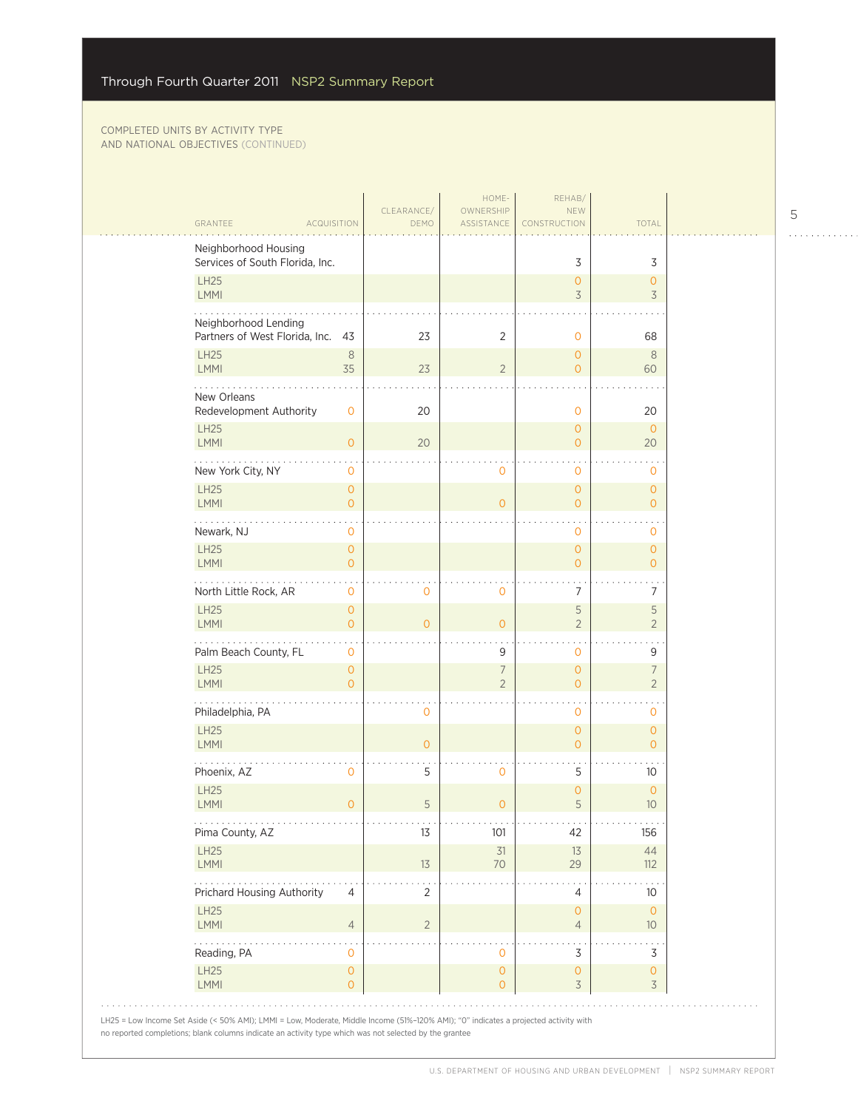| GRANTEE                                                   | <b>ACQUISITION</b>             | CLEARANCE/<br>DEMO | HOME-<br>OWNERSHIP<br>ASSISTANCE | REHAB/<br><b>NEW</b><br>CONSTRUCTION    | <b>TOTAL</b>                     |  |
|-----------------------------------------------------------|--------------------------------|--------------------|----------------------------------|-----------------------------------------|----------------------------------|--|
| Neighborhood Housing                                      |                                |                    |                                  |                                         |                                  |  |
| Services of South Florida, Inc.                           |                                |                    |                                  | 3                                       | 3                                |  |
| <b>LH25</b><br>LMMI                                       |                                |                    |                                  | $\mathbf{O}$<br>3                       | $\mathbf{O}$<br>3                |  |
|                                                           |                                |                    |                                  |                                         |                                  |  |
| Neighborhood Lending<br>Partners of West Florida, Inc. 43 |                                | 23                 | 2                                | 0                                       | 68                               |  |
| <b>LH25</b><br>LMMI                                       | $\,8\,$<br>35                  | 23                 | $\overline{2}$                   | $\mathbf{O}$<br>$\Omega$                | 8<br>60                          |  |
| .                                                         |                                |                    |                                  |                                         |                                  |  |
| New Orleans<br>Redevelopment Authority                    | $\mathbf 0$                    | 20                 |                                  | 0                                       | 20                               |  |
| <b>LH25</b><br>LMMI                                       | $\overline{0}$                 | 20                 |                                  | $\mathbf{O}$<br>$\overline{O}$          | $\mathbf{O}$<br>20               |  |
| New York City, NY                                         | $\mathbf 0$                    |                    | 0                                | $\mathbf 0$                             | $\mathbf{0}$                     |  |
| <b>LH25</b><br>LMMI                                       | $\mathbf{0}$<br>$\Omega$       |                    | $\Omega$                         | $\mathbf{O}$<br>$\Omega$                | $\mathbf{O}$<br>$\overline{O}$   |  |
| .<br>Newark, NJ                                           | $\mathbf{O}$                   |                    |                                  | $\mathbf{O}$                            | $\mathbf{0}$                     |  |
| LH25<br><b>LMMI</b>                                       | $\mathbf{O}$<br>$\mathbf{O}$   |                    |                                  | $\mathbf{O}$<br>$\Omega$                | $\mathbf{O}$<br>$\overline{O}$   |  |
| North Little Rock, AR                                     | $\mathbf 0$                    | $\mathbf{0}$       | 0                                | 7                                       | 7                                |  |
| <b>LH25</b><br><b>LMMI</b>                                | $\mathbf{O}$<br>$\overline{O}$ | $\overline{0}$     | $\overline{O}$                   | 5<br>$\overline{2}$                     | 5<br>$\overline{2}$              |  |
| Palm Beach County, FL                                     | $\mathbf{0}$                   |                    | 9                                | $\mathbf{O}$                            | 9                                |  |
| <b>LH25</b><br>LMMI                                       | $\mathbf{O}$<br>$\Omega$       |                    | $\overline{7}$<br>$\overline{2}$ | $\overline{O}$<br>$\Omega$              | $\overline{7}$<br>$\overline{2}$ |  |
| Philadelphia, PA                                          |                                | $\mathbf{O}$       |                                  | $\mathbf{O}$                            | $\mathbf{0}$                     |  |
| <b>LH25</b><br>LMMI                                       |                                | $\mathbf{O}$       |                                  | $\overline{O}$<br>$\overline{O}$        | $\overline{O}$<br>$\overline{O}$ |  |
| Phoenix, AZ                                               | 0                              | 5                  | 0                                | 5                                       | 10                               |  |
| <b>LH25</b><br>LMMI                                       | $\overline{0}$                 | 5                  | $\overline{O}$                   | $\mathbf{O}$<br>5                       | $\mathbf{0}$<br>10               |  |
| .<br>Pima County, AZ                                      |                                | 13                 | 101                              | 42                                      | 156                              |  |
| LH25<br>LMMI                                              |                                | 13                 | 31<br>70                         | 13<br>29                                | 44<br>112                        |  |
| .<br>Prichard Housing Authority                           | 4                              | 2                  |                                  | 4                                       | 10                               |  |
| LH25<br>LMMI                                              | $\overline{4}$                 | $\overline{2}$     |                                  | $\mathbf{O}$<br>$\overline{4}$          | $\circ$<br>10 <sup>°</sup>       |  |
| Reading, PA                                               | 0                              |                    | 0                                | 3                                       | 3                                |  |
| LH25<br>LMMI                                              | $\circ$<br>$\overline{O}$      |                    | 0<br>$\overline{O}$              | $\mathbf 0$<br>$\overline{\mathcal{S}}$ | 0<br>3                           |  |